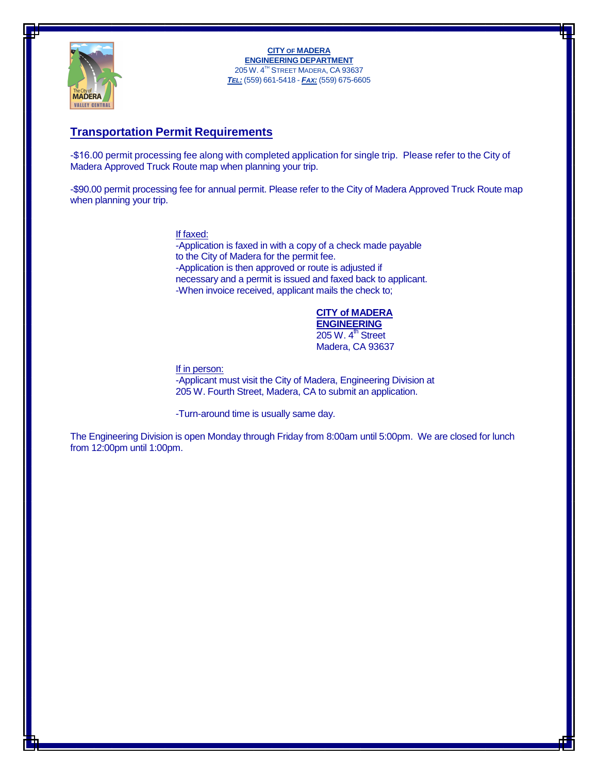

**CITY OF MADERA ENGINEERING DEPARTMENT** 205 W. 4 TH STREET MADERA, CA 93637 **TEL:** (559) 661-5418 - **FAX:** (559) 675-6605

## **Transportation Permit Requirements**

-\$16.00 permit processing fee along with completed application for single trip. Please refer to the City of Madera Approved Truck Route map when planning your trip.

-\$90.00 permit processing fee for annual permit. Please refer to the City of Madera Approved Truck Route map when planning your trip.

## If faxed:

-Application is faxed in with a copy of a check made payable to the City of Madera for the permit fee. -Application is then approved or route is adjusted if necessary and a permit is issued and faxed back to applicant. -When invoice received, applicant mails the check to;

## **CITY of MADERA**

**ENGINEERING**   $205 W. 4<sup>th</sup> Street$ Madera, CA 93637

If in person:

-Applicant must visit the City of Madera, Engineering Division at 205 W. Fourth Street, Madera, CA to submit an application.

-Turn-around time is usually same day.

The Engineering Division is open Monday through Friday from 8:00am until 5:00pm. We are closed for lunch from 12:00pm until 1:00pm.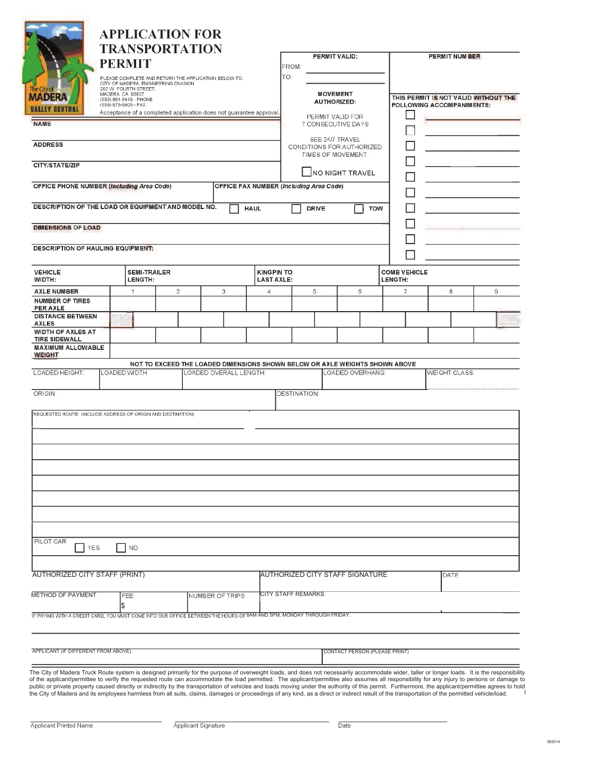|                                                                                                     | <b>APPLICATION FOR</b><br><b>TRANSPORTATION</b>                                                                      |                                                                             |                                        |                                           |                                                                    |                                      |                                |                      |  |   |
|-----------------------------------------------------------------------------------------------------|----------------------------------------------------------------------------------------------------------------------|-----------------------------------------------------------------------------|----------------------------------------|-------------------------------------------|--------------------------------------------------------------------|--------------------------------------|--------------------------------|----------------------|--|---|
|                                                                                                     | <b>PERMIT</b>                                                                                                        |                                                                             |                                        |                                           | PERMIT VALID:<br>FROM:                                             |                                      |                                | PERMIT NUMBER        |  |   |
| PLEASE COMPLETE AND RETURN THE APPLICATION BELOW TO.<br>CITY OF MADERA, ENGINEERING DIVISION        |                                                                                                                      | TO:<br><b>MOVEMENT</b><br><b>AUTHORIZED:</b>                                |                                        |                                           |                                                                    |                                      |                                |                      |  |   |
| 205 W. FOURTH STREET,<br>The City of<br>MADERA, CA 93637<br><b>MADERA</b><br>(559) 661-5418 - PHONE |                                                                                                                      |                                                                             |                                        |                                           |                                                                    | THIS PERMIT IS NOT VALID WITHOUT THE |                                |                      |  |   |
| (559) 675-6605 - FAX<br><b><i>UALLEY CENTRAL</i></b>                                                |                                                                                                                      |                                                                             |                                        |                                           | <b>FOLLOWING ACCOMPANIMENTS:</b>                                   |                                      |                                |                      |  |   |
| Acceptance of a completed application does not guarantee approval.<br><b>NAME</b>                   |                                                                                                                      |                                                                             |                                        |                                           | PERMIT VALID FOR<br>7 CONSECUTIVE DAYS                             |                                      |                                |                      |  |   |
| <b>ADDRESS</b>                                                                                      |                                                                                                                      |                                                                             |                                        |                                           | SEE 24/7 TRAVEL<br>CONDITIONS FOR AUTHORIZED<br>TIMES OF MOVEMENT. |                                      |                                |                      |  |   |
| <b>CITY/STATE/ZIP</b>                                                                               |                                                                                                                      |                                                                             |                                        |                                           |                                                                    |                                      |                                |                      |  |   |
| OFFICE PHONE NUMBER (Including Area Code)                                                           |                                                                                                                      |                                                                             |                                        |                                           | NO NIGHT TRAVEL<br><b>OFFICE FAX NUMBER (Including Area Code)</b>  |                                      |                                |                      |  |   |
|                                                                                                     |                                                                                                                      |                                                                             |                                        |                                           |                                                                    |                                      |                                |                      |  |   |
| DESCRIPTION OF THE LOAD OR EQUIPMENT AND MODEL NO.                                                  |                                                                                                                      |                                                                             |                                        | <b>HAUL</b><br><b>DRIVE</b><br><b>TOW</b> |                                                                    |                                      |                                |                      |  |   |
| <b>DIMENSIONS OF LOAD</b>                                                                           |                                                                                                                      |                                                                             |                                        |                                           |                                                                    |                                      |                                |                      |  |   |
| <b>DESCRIPTION OF HAULING EQUIPMENT:</b>                                                            |                                                                                                                      |                                                                             |                                        |                                           |                                                                    |                                      |                                |                      |  |   |
|                                                                                                     |                                                                                                                      |                                                                             |                                        |                                           |                                                                    |                                      |                                |                      |  |   |
| <b>VEHICLE</b><br>WIDTH:                                                                            | <b>SEMI-TRAILER</b><br>LENGTH:                                                                                       |                                                                             | <b>KINGPIN TO</b><br><b>LAST AXLE:</b> |                                           |                                                                    |                                      | <b>COMB VEHICLE</b><br>LENGTH: |                      |  |   |
| <b>AXLE NUMBER</b>                                                                                  | $\overline{2}$<br>$\mathbf{1}$                                                                                       | 3                                                                           | $\overline{4}$                         |                                           | 5                                                                  | 6                                    | $\overline{7}$                 | 8                    |  | 9 |
| <b>NUMBER OF TIRES</b><br><b>PER AXLE</b>                                                           |                                                                                                                      |                                                                             |                                        |                                           |                                                                    |                                      |                                |                      |  |   |
| <b>DISTANCE BETWEEN</b><br><b>AXLES</b>                                                             |                                                                                                                      |                                                                             |                                        |                                           |                                                                    |                                      |                                |                      |  |   |
| <b>WIDTH OF AXLES AT</b><br><b>TIRE SIDEWALL</b>                                                    |                                                                                                                      |                                                                             |                                        |                                           |                                                                    |                                      |                                |                      |  |   |
| <b>MAXIMUM ALLOWABLE</b><br><b>WEIGHT</b>                                                           |                                                                                                                      |                                                                             |                                        |                                           |                                                                    |                                      |                                |                      |  |   |
|                                                                                                     |                                                                                                                      | NOT TO EXCEED THE LOADED DIMENSIONS SHOWN BELOW OR AXLE WEIGHTS SHOWN ABOVE |                                        |                                           |                                                                    |                                      |                                |                      |  |   |
| LOADED HEIGHT:                                                                                      | LOADED WIDTH                                                                                                         | LOADED OVERALL LENGTH:                                                      |                                        |                                           |                                                                    | LOADED OVERHANG:                     |                                | <b>WEIGHT CLASS:</b> |  |   |
| ORIGIN:                                                                                             |                                                                                                                      |                                                                             |                                        | <b>DESTINATION:</b>                       |                                                                    |                                      |                                |                      |  |   |
|                                                                                                     | REQUESTED ROUTE: (INCLUDE ADDRESS OF ORIGIN AND DESTINATION)                                                         |                                                                             |                                        |                                           |                                                                    |                                      |                                |                      |  |   |
|                                                                                                     |                                                                                                                      |                                                                             |                                        |                                           |                                                                    |                                      |                                |                      |  |   |
|                                                                                                     |                                                                                                                      |                                                                             |                                        |                                           |                                                                    |                                      |                                |                      |  |   |
|                                                                                                     |                                                                                                                      |                                                                             |                                        |                                           |                                                                    |                                      |                                |                      |  |   |
|                                                                                                     |                                                                                                                      |                                                                             |                                        |                                           |                                                                    |                                      |                                |                      |  |   |
|                                                                                                     |                                                                                                                      |                                                                             |                                        |                                           |                                                                    |                                      |                                |                      |  |   |
|                                                                                                     |                                                                                                                      |                                                                             |                                        |                                           |                                                                    |                                      |                                |                      |  |   |
|                                                                                                     |                                                                                                                      |                                                                             |                                        |                                           |                                                                    |                                      |                                |                      |  |   |
|                                                                                                     |                                                                                                                      |                                                                             |                                        |                                           |                                                                    |                                      |                                |                      |  |   |
| PILOT CAR<br>│ YES                                                                                  | $\blacksquare$ NO                                                                                                    |                                                                             |                                        |                                           |                                                                    |                                      |                                |                      |  |   |
|                                                                                                     |                                                                                                                      |                                                                             |                                        |                                           |                                                                    |                                      |                                |                      |  |   |
| <b>AUTHORIZED CITY STAFF (PRINT)</b>                                                                |                                                                                                                      |                                                                             |                                        |                                           | AUTHORIZED CITY STAFF SIGNATURE                                    |                                      | DATE                           |                      |  |   |
| METHOD OF PAYMENT                                                                                   | FEE<br>\$                                                                                                            | NUMBER OF TRIPS                                                             |                                        | <b>CITY STAFF REMARKS</b>                 |                                                                    |                                      |                                |                      |  |   |
|                                                                                                     | IF PAYING WITH A CREDIT CARD, YOU MUST COME INTO OUR OFFICE BETWEEN THE HOURS OF 8AM AND 5PM, MONDAY THROUGH FRIDAY. |                                                                             |                                        |                                           |                                                                    |                                      |                                |                      |  |   |
| APPLICANT (IF DIFFERENT FROM ABOVE)                                                                 |                                                                                                                      |                                                                             |                                        |                                           |                                                                    | CONTACT PERSON (PLEASE PRINT)        |                                |                      |  |   |
|                                                                                                     |                                                                                                                      |                                                                             |                                        |                                           |                                                                    |                                      |                                |                      |  |   |

The City of Madera Truck Route system is designed primarily for the purpose of overweight loads, and does not necessarily accommodate wider, taller or longer loads. It is the responsibility<br>of the applicant/permittee to ve